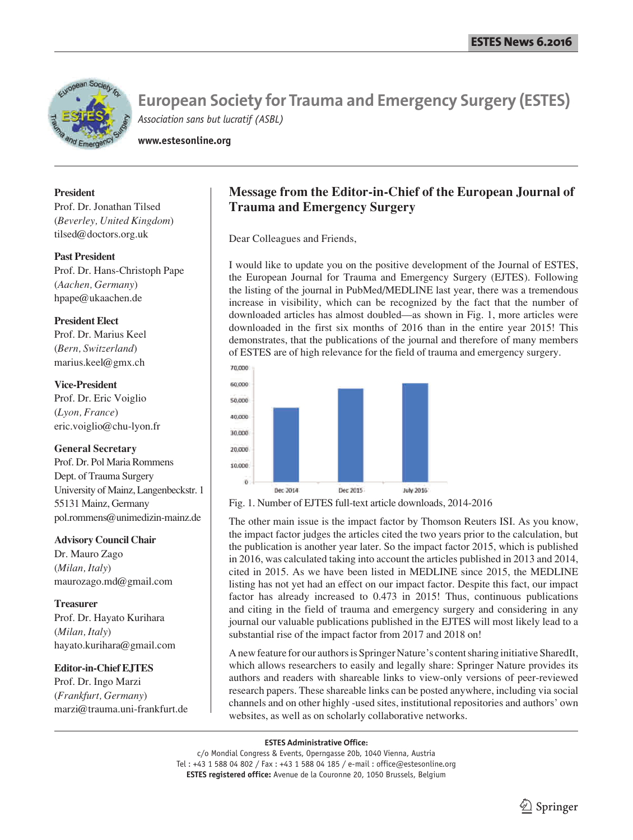

**www.estesonline.org**

#### **President**

Prof. Dr. Jonathan Tilsed (*Beverley, United Kingdom*) tilsed@doctors.org.uk

#### **Past President**

Prof. Dr. Hans-Christoph Pape (*Aachen, Germany*) hpape@ukaachen.de

#### **President Elect**

Prof. Dr. Marius Keel (*Bern, Switzerland*) marius.keel@gmx.ch

**Vice-President** Prof. Dr. Eric Voiglio (*Lyon, France*) eric.voiglio@chu-lyon.fr

#### **General Secretary**

Prof. Dr. Pol Maria Rommens Dept. of Trauma Surgery University of Mainz, Langenbeckstr. 1 55131 Mainz, Germany pol.rommens@unimedizin-mainz.de

**Advisory Council Chair**

Dr. Mauro Zago (*Milan, Italy*) maurozago.md@gmail.com

**Treasurer** Prof. Dr. Hayato Kurihara (*Milan, Italy*) hayato.kurihara@gmail.com

#### **Editor-in-Chief EJTES**

Prof. Dr. Ingo Marzi (*Frankfurt, Germany*) marzi@trauma.uni-frankfurt.de

## **Message from the Editor-in-Chief of the European Journal of Trauma and Emergency Surgery**

Dear Colleagues and Friends,

I would like to update you on the positive development of the Journal of ESTES, the European Journal for Trauma and Emergency Surgery (EJTES). Following the listing of the journal in PubMed/MEDLINE last year, there was a tremendous increase in visibility, which can be recognized by the fact that the number of downloaded articles has almost doubled—as shown in Fig. 1, more articles were downloaded in the first six months of 2016 than in the entire year 2015! This demonstrates, that the publications of the journal and therefore of many members of ESTES are of high relevance for the field of trauma and emergency surgery.



Fig. 1. Number of EJTES full-text article downloads, 2014-2016

The other main issue is the impact factor by Thomson Reuters ISI. As you know, the impact factor judges the articles cited the two years prior to the calculation, but the publication is another year later. So the impact factor 2015, which is published in 2016, was calculated taking into account the articles published in 2013 and 2014, cited in 2015. As we have been listed in MEDLINE since 2015, the MEDLINE listing has not yet had an effect on our impact factor. Despite this fact, our impact factor has already increased to 0.473 in 2015! Thus, continuous publications and citing in the field of trauma and emergency surgery and considering in any journal our valuable publications published in the EJTES will most likely lead to a substantial rise of the impact factor from 2017 and 2018 on!

A new feature for our authors is Springer Nature's content sharing initiative SharedIt, which allows researchers to easily and legally share: Springer Nature provides its authors and readers with shareable links to view-only versions of peer-reviewed research papers. These shareable links can be posted anywhere, including via social channels and on other highly -used sites, institutional repositories and authors' own websites, as well as on scholarly collaborative networks.

#### **ESTES Administrative Office:**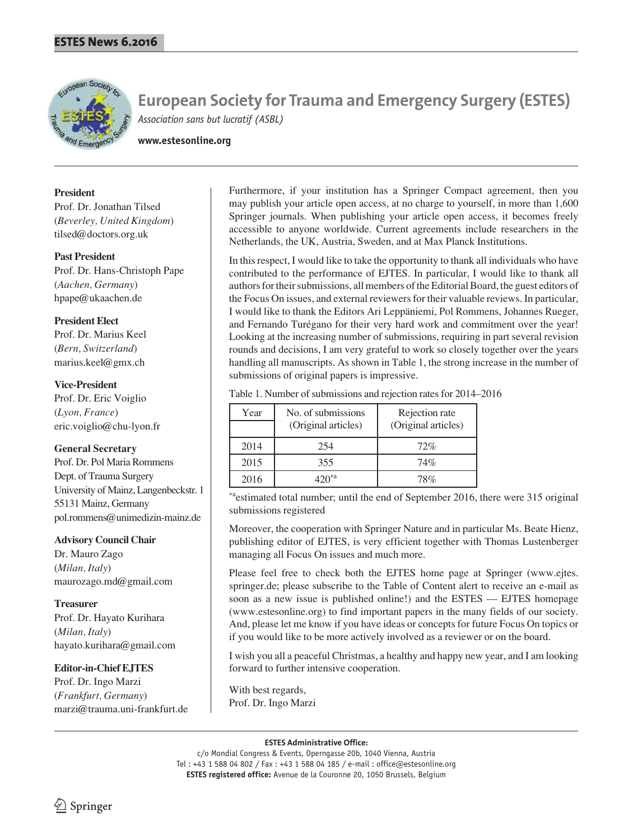

**www.estesonline.org**

#### **President**

Prof. Dr. Jonathan Tilsed (*Beverley, United Kingdom*) tilsed@doctors.org.uk

#### **Past President**

Prof. Dr. Hans-Christoph Pape (*Aachen, Germany*) hpape@ukaachen.de

#### **President Elect**

Prof. Dr. Marius Keel (*Bern, Switzerland*) marius.keel@gmx.ch

#### **Vice-President**

Prof. Dr. Eric Voiglio (*Lyon, France*) eric.voiglio@chu-lyon.fr

#### **General Secretary**

Prof. Dr. Pol Maria Rommens Dept. of Trauma Surgery University of Mainz, Langenbeckstr. 1 55131 Mainz, Germany pol.rommens@unimedizin-mainz.de

#### **Advisory Council Chair**

Dr. Mauro Zago (*Milan, Italy*) maurozago.md@gmail.com

#### **Treasurer**

Prof. Dr. Hayato Kurihara (*Milan, Italy*) hayato.kurihara@gmail.com

#### **Editor-in-Chief EJTES**

Prof. Dr. Ingo Marzi (*Frankfurt, Germany*) marzi@trauma.uni-frankfurt.de Furthermore, if your institution has a Springer Compact agreement, then you may publish your article open access, at no charge to yourself, in more than 1,600 Springer journals. When publishing your article open access, it becomes freely accessible to anyone worldwide. Current agreements include researchers in the Netherlands, the UK, Austria, Sweden, and at Max Planck Institutions.

In this respect, I would like to take the opportunity to thank all individuals who have contributed to the performance of EJTES. In particular, I would like to thank all authors for their submissions, all members of the Editorial Board, the guest editors of the Focus On issues, and external reviewers for their valuable reviews. In particular, I would like to thank the Editors Ari Leppäniemi, Pol Rommens, Johannes Rueger, and Fernando Turégano for their very hard work and commitment over the year! Looking at the increasing number of submissions, requiring in part several revision rounds and decisions, I am very grateful to work so closely together over the years handling all manuscripts. As shown in Table 1, the strong increase in the number of submissions of original papers is impressive.

Table 1. Number of submissions and rejection rates for 2014–2016

| Year | No. of submissions<br>(Original articles) | Rejection rate<br>(Original articles) |
|------|-------------------------------------------|---------------------------------------|
| 2014 | 254                                       | 72%                                   |
| 2015 | 355                                       | 74%                                   |
| 2016 |                                           | 78%                                   |

\*aestimated total number; until the end of September 2016, there were 315 original submissions registered

Moreover, the cooperation with Springer Nature and in particular Ms. Beate Hienz, publishing editor of EJTES, is very efficient together with Thomas Lustenberger managing all Focus On issues and much more.

Please feel free to check both the EJTES home page at Springer (www.ejtes. springer.de; please subscribe to the Table of Content alert to receive an e-mail as soon as a new issue is published online!) and the ESTES — EJTES homepage (www.estesonline.org) to find important papers in the many fields of our society. And, please let me know if you have ideas or concepts for future Focus On topics or if you would like to be more actively involved as a reviewer or on the board.

I wish you all a peaceful Christmas, a healthy and happy new year, and I am looking forward to further intensive cooperation.

With best regards, Prof. Dr. Ingo Marzi

#### **ESTES Administrative Office:**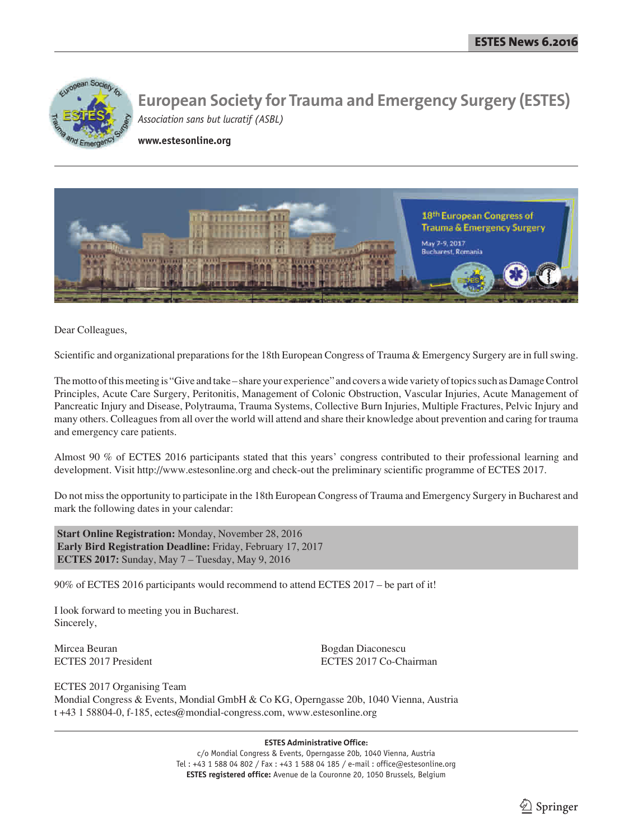

**www.estesonline.org**



Dear Colleagues,

Scientific and organizational preparations for the 18th European Congress of Trauma & Emergency Surgery are in full swing.

The motto of this meeting is "Give and take – share your experience" and covers a wide variety of topics such as Damage Control Principles, Acute Care Surgery, Peritonitis, Management of Colonic Obstruction, Vascular Injuries, Acute Management of Pancreatic Injury and Disease, Polytrauma, Trauma Systems, Collective Burn Injuries, Multiple Fractures, Pelvic Injury and many others. Colleagues from all over the world will attend and share their knowledge about prevention and caring for trauma and emergency care patients.

Almost 90 % of ECTES 2016 participants stated that this years' congress contributed to their professional learning and development. Visit http://www.estesonline.org and check-out the preliminary scientific programme of ECTES 2017.

Do not miss the opportunity to participate in the 18th European Congress of Trauma and Emergency Surgery in Bucharest and mark the following dates in your calendar:

**Start Online Registration:** Monday, November 28, 2016 **Early Bird Registration Deadline:** Friday, February 17, 2017 **ECTES 2017:** Sunday, May 7 – Tuesday, May 9, 2016

90% of ECTES 2016 participants would recommend to attend ECTES 2017 – be part of it!

I look forward to meeting you in Bucharest. Sincerely,

Mircea Beuran Bogdan Diaconescu

ECTES 2017 President ECTES 2017 Co-Chairman

ECTES 2017 Organising Team Mondial Congress & Events, Mondial GmbH & Co KG, Operngasse 20b, 1040 Vienna, Austria t +43 1 58804-0, f-185, ectes@mondial-congress.com, www.estesonline.org

**ESTES Administrative Office:**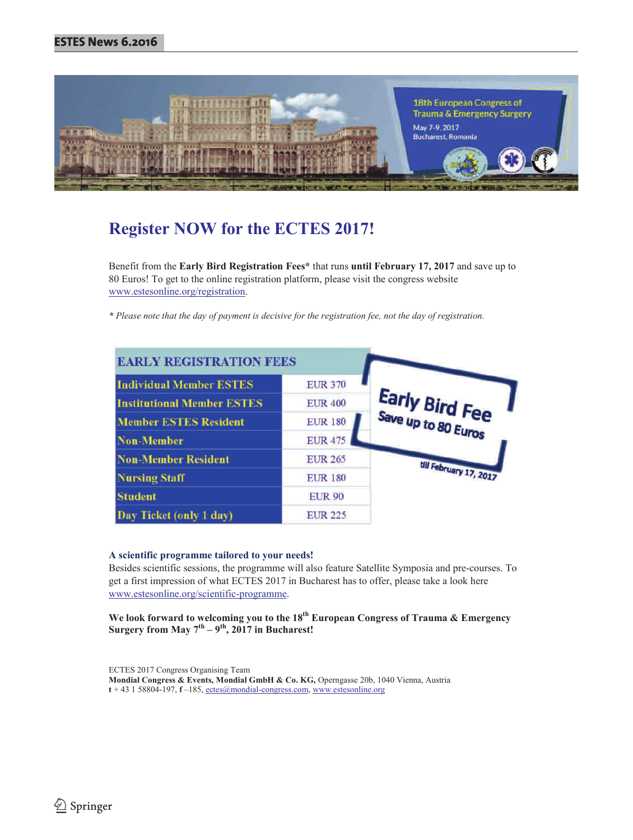

# **Register NOW for the ECTES 2017!**

Benefit from the **Early Bird Registration Fees\*** that runs **until February 17, 2017** and save up to 80 Euros! To get to the online registration platform, please visit the congress website www.estesonline.org/registration.

*\* Please note that the day of payment is decisive for the registration fee, not the day of registration.* 

| <b>EARLY REGISTRATION FEES</b>    |                |                        |
|-----------------------------------|----------------|------------------------|
| <b>Individual Member ESTES</b>    | <b>EUR 370</b> |                        |
| <b>Institutional Member ESTES</b> | <b>EUR 400</b> | <b>Early Bird Fee</b>  |
| <b>Member ESTES Resident</b>      | <b>EUR 180</b> |                        |
| <b>Non-Member</b>                 | <b>EUR 475</b> |                        |
| <b>Non-Member Resident</b>        | <b>EUR 265</b> |                        |
| <b>Nursing Staff</b>              | <b>EUR 180</b> | till February 17, 2017 |
| <b>Student</b>                    | <b>EUR 90</b>  |                        |
| Day Ticket (only 1 day)           | <b>EUR 225</b> |                        |

#### **A scientific programme tailored to your needs!**

Besides scientific sessions, the programme will also feature Satellite Symposia and pre-courses. To get a first impression of what ECTES 2017 in Bucharest has to offer, please take a look here www.estesonline.org/scientific-programme.

**We look forward to welcoming you to the 18th European Congress of Trauma & Emergency Surgery from May**  $7^{th} - 9^{th}$ **, 2017 in Bucharest!** 

ECTES 2017 Congress Organising Team **Mondial Congress & Events, Mondial GmbH & Co. KG,** Operngasse 20b, 1040 Vienna, Austria **t** + 43 1 58804-197, **f** –185, ectes@mondial-congress.com, www.estesonline.org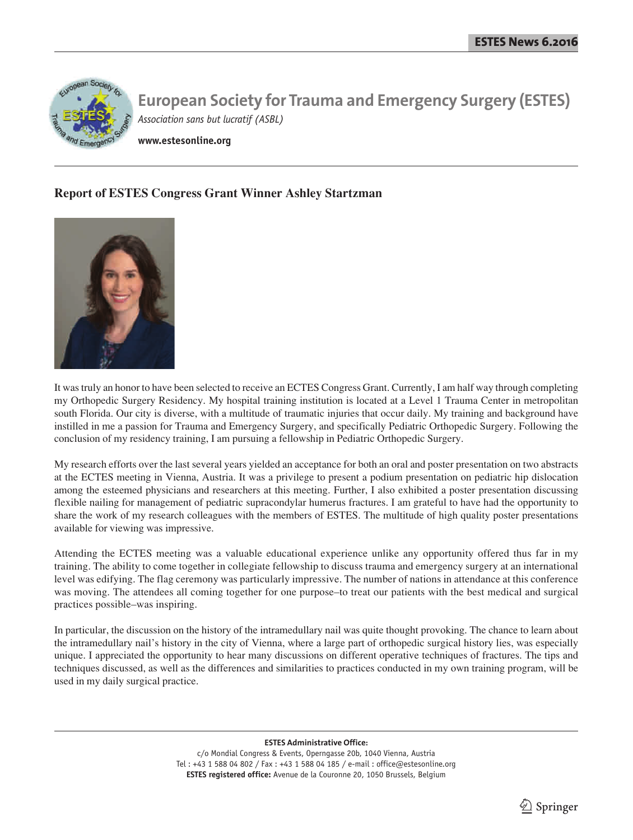

**www.estesonline.org**

## **Report of ESTES Congress Grant Winner Ashley Startzman**



It was truly an honor to have been selected to receive an ECTES Congress Grant. Currently, I am half way through completing my Orthopedic Surgery Residency. My hospital training institution is located at a Level 1 Trauma Center in metropolitan south Florida. Our city is diverse, with a multitude of traumatic injuries that occur daily. My training and background have instilled in me a passion for Trauma and Emergency Surgery, and specifically Pediatric Orthopedic Surgery. Following the conclusion of my residency training, I am pursuing a fellowship in Pediatric Orthopedic Surgery.

My research efforts over the last several years yielded an acceptance for both an oral and poster presentation on two abstracts at the ECTES meeting in Vienna, Austria. It was a privilege to present a podium presentation on pediatric hip dislocation among the esteemed physicians and researchers at this meeting. Further, I also exhibited a poster presentation discussing flexible nailing for management of pediatric supracondylar humerus fractures. I am grateful to have had the opportunity to share the work of my research colleagues with the members of ESTES. The multitude of high quality poster presentations available for viewing was impressive.

Attending the ECTES meeting was a valuable educational experience unlike any opportunity offered thus far in my training. The ability to come together in collegiate fellowship to discuss trauma and emergency surgery at an international level was edifying. The flag ceremony was particularly impressive. The number of nations in attendance at this conference was moving. The attendees all coming together for one purpose–to treat our patients with the best medical and surgical practices possible–was inspiring.

In particular, the discussion on the history of the intramedullary nail was quite thought provoking. The chance to learn about the intramedullary nail's history in the city of Vienna, where a large part of orthopedic surgical history lies, was especially unique. I appreciated the opportunity to hear many discussions on different operative techniques of fractures. The tips and techniques discussed, as well as the differences and similarities to practices conducted in my own training program, will be used in my daily surgical practice.

**ESTES Administrative Office:**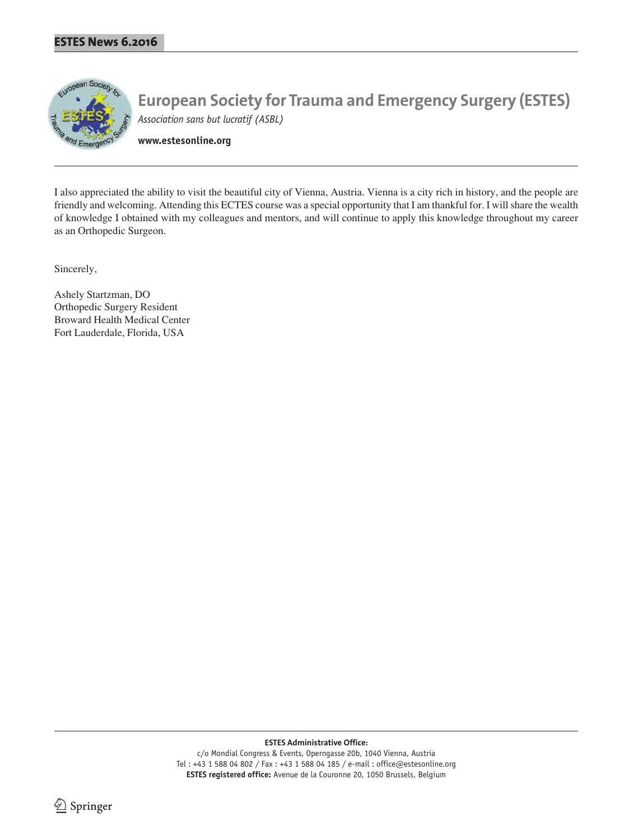

**www.estesonline.org**

I also appreciated the ability to visit the beautiful city of Vienna, Austria. Vienna is a city rich in history, and the people are friendly and welcoming. Attending this ECTES course was a special opportunity that I am thankful for. I will share the wealth of knowledge I obtained with my colleagues and mentors, and will continue to apply this knowledge throughout my career as an Orthopedic Surgeon.

Sincerely,

Ashely Startzman, DO Orthopedic Surgery Resident Broward Health Medical Center Fort Lauderdale, Florida, USA

**ESTES Administrative Office:**

c/o Mondial Congress & Events, Operngasse 20b, 1040 Vienna, Austria Tel : +43 1 588 04 802 / Fax : +43 1 588 04 185 / e-mail : office@estesonline.org **ESTES registered office:** Avenue de la Couronne 20, 1050 Brussels, Belgium

2 Springer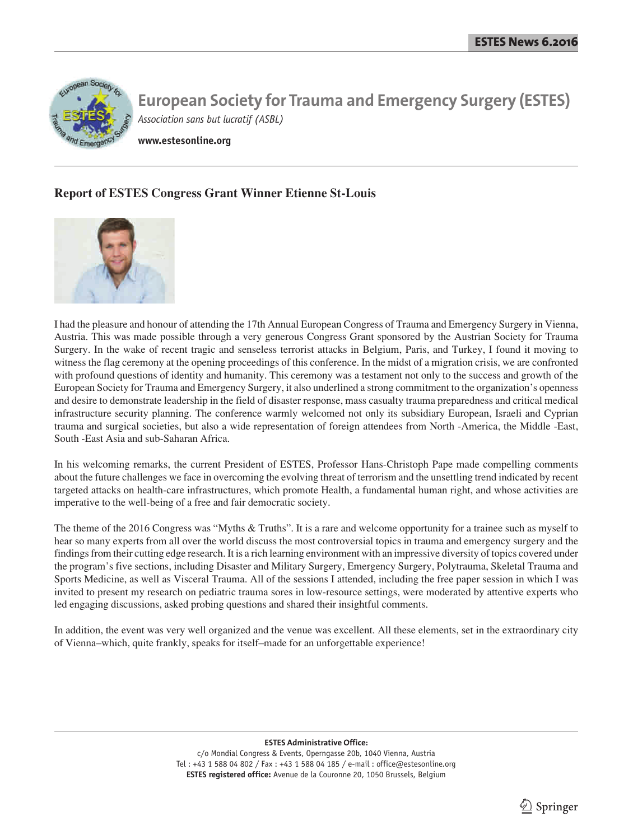

**www.estesonline.org**

## **Report of ESTES Congress Grant Winner Etienne St-Louis**



I had the pleasure and honour of attending the 17th Annual European Congress of Trauma and Emergency Surgery in Vienna, Austria. This was made possible through a very generous Congress Grant sponsored by the Austrian Society for Trauma Surgery. In the wake of recent tragic and senseless terrorist attacks in Belgium, Paris, and Turkey, I found it moving to witness the flag ceremony at the opening proceedings of this conference. In the midst of a migration crisis, we are confronted with profound questions of identity and humanity. This ceremony was a testament not only to the success and growth of the European Society for Trauma and Emergency Surgery, it also underlined a strong commitment to the organization's openness and desire to demonstrate leadership in the field of disaster response, mass casualty trauma preparedness and critical medical infrastructure security planning. The conference warmly welcomed not only its subsidiary European, Israeli and Cyprian trauma and surgical societies, but also a wide representation of foreign attendees from North -America, the Middle -East, South -East Asia and sub-Saharan Africa.

In his welcoming remarks, the current President of ESTES, Professor Hans-Christoph Pape made compelling comments about the future challenges we face in overcoming the evolving threat of terrorism and the unsettling trend indicated by recent targeted attacks on health-care infrastructures, which promote Health, a fundamental human right, and whose activities are imperative to the well-being of a free and fair democratic society.

The theme of the 2016 Congress was "Myths & Truths". It is a rare and welcome opportunity for a trainee such as myself to hear so many experts from all over the world discuss the most controversial topics in trauma and emergency surgery and the findings from their cutting edge research. It is a rich learning environment with an impressive diversity of topics covered under the program's five sections, including Disaster and Military Surgery, Emergency Surgery, Polytrauma, Skeletal Trauma and Sports Medicine, as well as Visceral Trauma. All of the sessions I attended, including the free paper session in which I was invited to present my research on pediatric trauma sores in low-resource settings, were moderated by attentive experts who led engaging discussions, asked probing questions and shared their insightful comments.

In addition, the event was very well organized and the venue was excellent. All these elements, set in the extraordinary city of Vienna–which, quite frankly, speaks for itself–made for an unforgettable experience!

**ESTES Administrative Office:**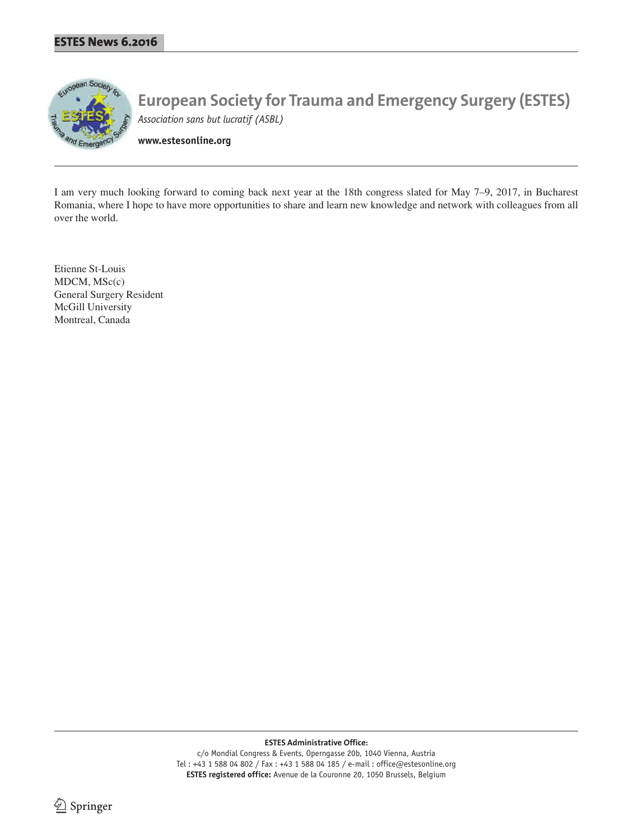

**www.estesonline.org**

I am very much looking forward to coming back next year at the 18th congress slated for May 7–9, 2017, in Bucharest Romania, where I hope to have more opportunities to share and learn new knowledge and network with colleagues from all over the world.

Etienne St-Louis MDCM, MSc(c) General Surgery Resident McGill University Montreal, Canada

**ESTES Administrative Office:**

c/o Mondial Congress & Events, Operngasse 20b, 1040 Vienna, Austria Tel : +43 1 588 04 802 / Fax : +43 1 588 04 185 / e-mail : office@estesonline.org **ESTES registered office:** Avenue de la Couronne 20, 1050 Brussels, Belgium

<sup>2</sup> Springer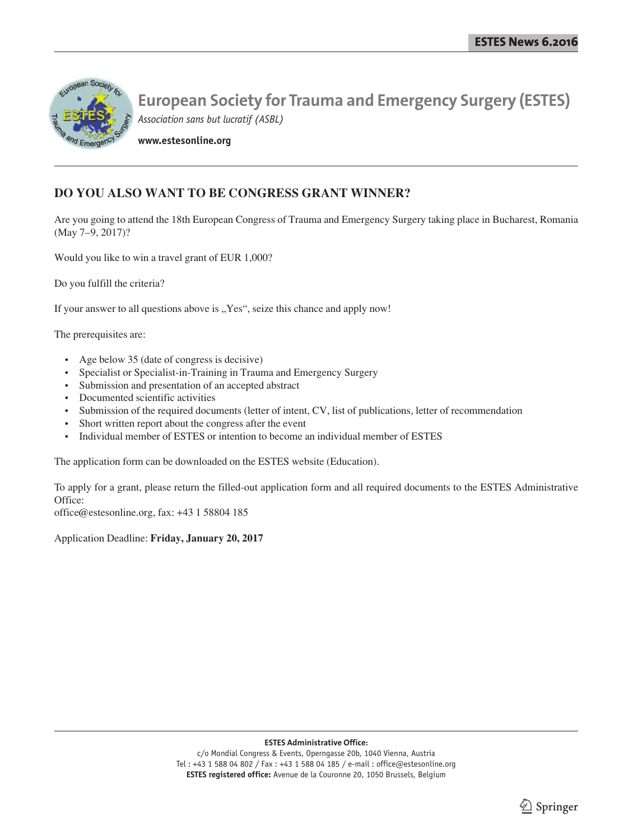

**www.estesonline.org**

## **DO YOU ALSO WANT TO BE CONGRESS GRANT WINNER?**

Are you going to attend the 18th European Congress of Trauma and Emergency Surgery taking place in Bucharest, Romania (May 7–9, 2017)?

Would you like to win a travel grant of EUR 1,000?

Do you fulfill the criteria?

If your answer to all questions above is "Yes", seize this chance and apply now!

The prerequisites are:

- Age below 35 (date of congress is decisive)
- Specialist or Specialist-in-Training in Trauma and Emergency Surgery
- Submission and presentation of an accepted abstract
- Documented scientific activities
- Submission of the required documents (letter of intent, CV, list of publications, letter of recommendation
- Short written report about the congress after the event
- Individual member of ESTES or intention to become an individual member of ESTES

The application form can be downloaded on the ESTES website (Education).

To apply for a grant, please return the filled-out application form and all required documents to the ESTES Administrative Office:

office@estesonline.org, fax: +43 1 58804 185

Application Deadline: **Friday, January 20, 2017**

**ESTES Administrative Office:**